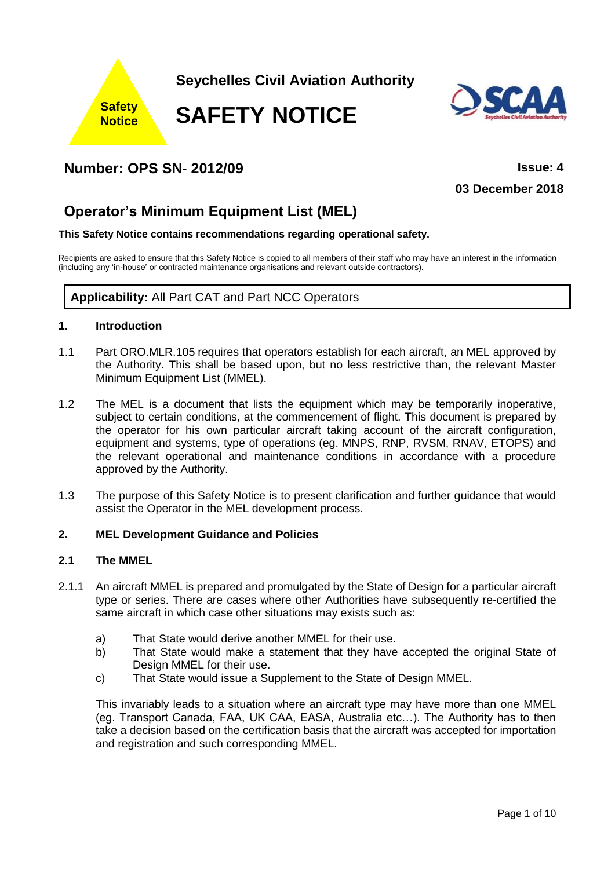



# **Number: OPS SN- 2012/09 Issue: 4**

**03 December 2018**

# **Operator's Minimum Equipment List (MEL)**

### **This Safety Notice contains recommendations regarding operational safety.**

Recipients are asked to ensure that this Safety Notice is copied to all members of their staff who may have an interest in the information (including any 'in-house' or contracted maintenance organisations and relevant outside contractors).

# **Applicability:** All Part CAT and Part NCC Operators

### **1. Introduction**

- 1.1 Part ORO.MLR.105 requires that operators establish for each aircraft, an MEL approved by the Authority. This shall be based upon, but no less restrictive than, the relevant Master Minimum Equipment List (MMEL).
- 1.2 The MEL is a document that lists the equipment which may be temporarily inoperative, subject to certain conditions, at the commencement of flight. This document is prepared by the operator for his own particular aircraft taking account of the aircraft configuration, equipment and systems, type of operations (eg. MNPS, RNP, RVSM, RNAV, ETOPS) and the relevant operational and maintenance conditions in accordance with a procedure approved by the Authority.
- 1.3 The purpose of this Safety Notice is to present clarification and further guidance that would assist the Operator in the MEL development process.

### **2. MEL Development Guidance and Policies**

# **2.1 The MMEL**

- 2.1.1 An aircraft MMEL is prepared and promulgated by the State of Design for a particular aircraft type or series. There are cases where other Authorities have subsequently re-certified the same aircraft in which case other situations may exists such as:
	- a) That State would derive another MMEL for their use.
	- b) That State would make a statement that they have accepted the original State of Design MMEL for their use.
	- c) That State would issue a Supplement to the State of Design MMEL.

This invariably leads to a situation where an aircraft type may have more than one MMEL (eg. Transport Canada, FAA, UK CAA, EASA, Australia etc…). The Authority has to then take a decision based on the certification basis that the aircraft was accepted for importation and registration and such corresponding MMEL.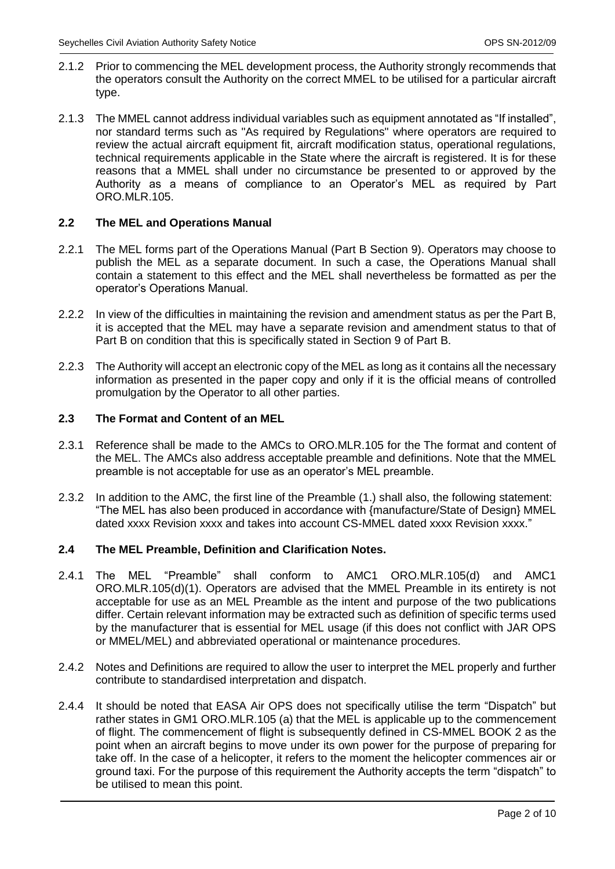- 2.1.2 Prior to commencing the MEL development process, the Authority strongly recommends that the operators consult the Authority on the correct MMEL to be utilised for a particular aircraft type.
- 2.1.3 The MMEL cannot address individual variables such as equipment annotated as "If installed", nor standard terms such as "As required by Regulations" where operators are required to review the actual aircraft equipment fit, aircraft modification status, operational regulations, technical requirements applicable in the State where the aircraft is registered. It is for these reasons that a MMEL shall under no circumstance be presented to or approved by the Authority as a means of compliance to an Operator's MEL as required by Part ORO.MLR.105.

# **2.2 The MEL and Operations Manual**

- 2.2.1 The MEL forms part of the Operations Manual (Part B Section 9). Operators may choose to publish the MEL as a separate document. In such a case, the Operations Manual shall contain a statement to this effect and the MEL shall nevertheless be formatted as per the operator's Operations Manual.
- 2.2.2 In view of the difficulties in maintaining the revision and amendment status as per the Part B, it is accepted that the MEL may have a separate revision and amendment status to that of Part B on condition that this is specifically stated in Section 9 of Part B.
- 2.2.3 The Authority will accept an electronic copy of the MEL as long as it contains all the necessary information as presented in the paper copy and only if it is the official means of controlled promulgation by the Operator to all other parties.

# **2.3 The Format and Content of an MEL**

- 2.3.1 Reference shall be made to the AMCs to ORO.MLR.105 for the The format and content of the MEL. The AMCs also address acceptable preamble and definitions. Note that the MMEL preamble is not acceptable for use as an operator's MEL preamble.
- 2.3.2 In addition to the AMC, the first line of the Preamble (1.) shall also, the following statement: "The MEL has also been produced in accordance with {manufacture/State of Design} MMEL dated xxxx Revision xxxx and takes into account CS-MMEL dated xxxx Revision xxxx."

## **2.4 The MEL Preamble, Definition and Clarification Notes.**

- 2.4.1 The MEL "Preamble" shall conform to AMC1 ORO.MLR.105(d) and AMC1 ORO.MLR.105(d)(1). Operators are advised that the MMEL Preamble in its entirety is not acceptable for use as an MEL Preamble as the intent and purpose of the two publications differ. Certain relevant information may be extracted such as definition of specific terms used by the manufacturer that is essential for MEL usage (if this does not conflict with JAR OPS or MMEL/MEL) and abbreviated operational or maintenance procedures.
- 2.4.2 Notes and Definitions are required to allow the user to interpret the MEL properly and further contribute to standardised interpretation and dispatch.
- 2.4.4 It should be noted that EASA Air OPS does not specifically utilise the term "Dispatch" but rather states in GM1 ORO.MLR.105 (a) that the MEL is applicable up to the commencement of flight. The commencement of flight is subsequently defined in CS-MMEL BOOK 2 as the point when an aircraft begins to move under its own power for the purpose of preparing for take off. In the case of a helicopter, it refers to the moment the helicopter commences air or ground taxi. For the purpose of this requirement the Authority accepts the term "dispatch" to be utilised to mean this point.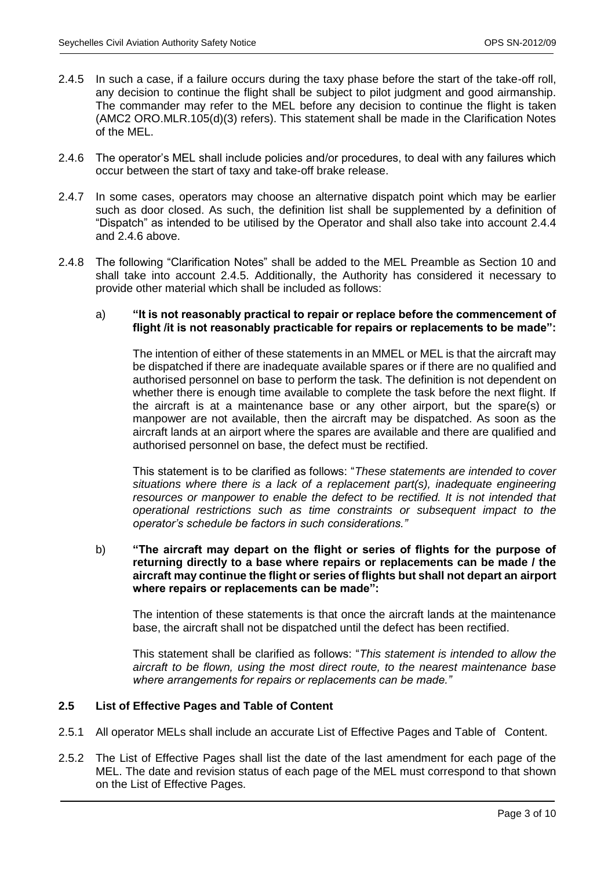- 2.4.5 In such a case, if a failure occurs during the taxy phase before the start of the take-off roll, any decision to continue the flight shall be subject to pilot judgment and good airmanship. The commander may refer to the MEL before any decision to continue the flight is taken (AMC2 ORO.MLR.105(d)(3) refers). This statement shall be made in the Clarification Notes of the MEL.
- 2.4.6 The operator's MEL shall include policies and/or procedures, to deal with any failures which occur between the start of taxy and take-off brake release.
- 2.4.7 In some cases, operators may choose an alternative dispatch point which may be earlier such as door closed. As such, the definition list shall be supplemented by a definition of "Dispatch" as intended to be utilised by the Operator and shall also take into account 2.4.4 and 2.4.6 above.
- 2.4.8 The following "Clarification Notes" shall be added to the MEL Preamble as Section 10 and shall take into account 2.4.5. Additionally, the Authority has considered it necessary to provide other material which shall be included as follows:

#### a) **"It is not reasonably practical to repair or replace before the commencement of flight /it is not reasonably practicable for repairs or replacements to be made":**

The intention of either of these statements in an MMEL or MEL is that the aircraft may be dispatched if there are inadequate available spares or if there are no qualified and authorised personnel on base to perform the task. The definition is not dependent on whether there is enough time available to complete the task before the next flight. If the aircraft is at a maintenance base or any other airport, but the spare(s) or manpower are not available, then the aircraft may be dispatched. As soon as the aircraft lands at an airport where the spares are available and there are qualified and authorised personnel on base, the defect must be rectified.

This statement is to be clarified as follows: "*These statements are intended to cover situations where there is a lack of a replacement part(s), inadequate engineering*  resources or manpower to enable the defect to be rectified. It is not intended that *operational restrictions such as time constraints or subsequent impact to the operator's schedule be factors in such considerations."*

b) **"The aircraft may depart on the flight or series of flights for the purpose of returning directly to a base where repairs or replacements can be made / the aircraft may continue the flight or series of flights but shall not depart an airport where repairs or replacements can be made":**

The intention of these statements is that once the aircraft lands at the maintenance base, the aircraft shall not be dispatched until the defect has been rectified.

This statement shall be clarified as follows: "*This statement is intended to allow the aircraft to be flown, using the most direct route, to the nearest maintenance base where arrangements for repairs or replacements can be made."*

# **2.5 List of Effective Pages and Table of Content**

- 2.5.1 All operator MELs shall include an accurate List of Effective Pages and Table of Content.
- 2.5.2 The List of Effective Pages shall list the date of the last amendment for each page of the MEL. The date and revision status of each page of the MEL must correspond to that shown on the List of Effective Pages.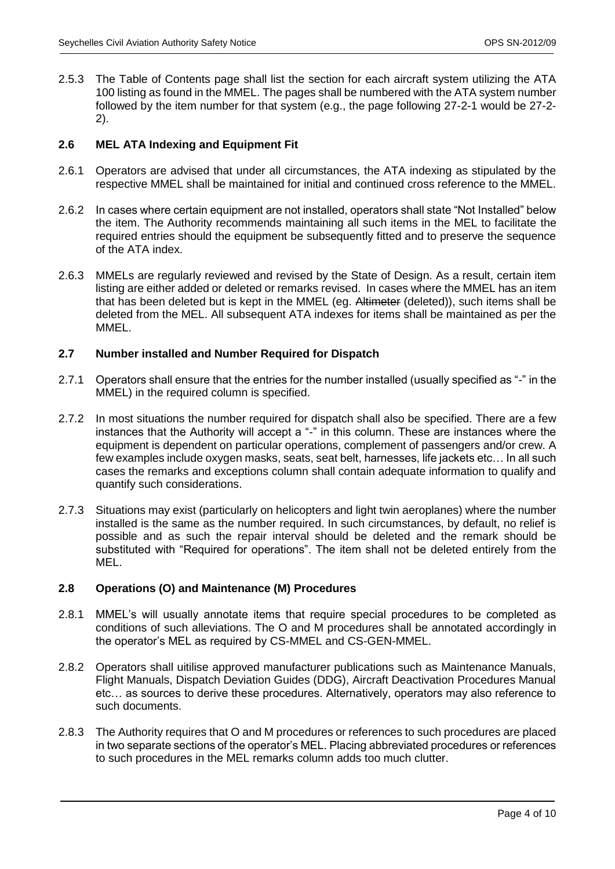2.5.3 The Table of Contents page shall list the section for each aircraft system utilizing the ATA 100 listing as found in the MMEL. The pages shall be numbered with the ATA system number followed by the item number for that system (e.g., the page following 27-2-1 would be 27-2- 2).

# **2.6 MEL ATA Indexing and Equipment Fit**

- 2.6.1 Operators are advised that under all circumstances, the ATA indexing as stipulated by the respective MMEL shall be maintained for initial and continued cross reference to the MMEL.
- 2.6.2 In cases where certain equipment are not installed, operators shall state "Not Installed" below the item. The Authority recommends maintaining all such items in the MEL to facilitate the required entries should the equipment be subsequently fitted and to preserve the sequence of the ATA index.
- 2.6.3 MMELs are regularly reviewed and revised by the State of Design. As a result, certain item listing are either added or deleted or remarks revised. In cases where the MMEL has an item that has been deleted but is kept in the MMEL (eg. Altimeter (deleted)), such items shall be deleted from the MEL. All subsequent ATA indexes for items shall be maintained as per the MMEL.

### **2.7 Number installed and Number Required for Dispatch**

- 2.7.1 Operators shall ensure that the entries for the number installed (usually specified as "-" in the MMEL) in the required column is specified.
- 2.7.2 In most situations the number required for dispatch shall also be specified. There are a few instances that the Authority will accept a "-" in this column. These are instances where the equipment is dependent on particular operations, complement of passengers and/or crew. A few examples include oxygen masks, seats, seat belt, harnesses, life jackets etc… In all such cases the remarks and exceptions column shall contain adequate information to qualify and quantify such considerations.
- 2.7.3 Situations may exist (particularly on helicopters and light twin aeroplanes) where the number installed is the same as the number required. In such circumstances, by default, no relief is possible and as such the repair interval should be deleted and the remark should be substituted with "Required for operations". The item shall not be deleted entirely from the MEL.

### **2.8 Operations (O) and Maintenance (M) Procedures**

- 2.8.1 MMEL's will usually annotate items that require special procedures to be completed as conditions of such alleviations. The O and M procedures shall be annotated accordingly in the operator's MEL as required by CS-MMEL and CS-GEN-MMEL.
- 2.8.2 Operators shall uitilise approved manufacturer publications such as Maintenance Manuals, Flight Manuals, Dispatch Deviation Guides (DDG), Aircraft Deactivation Procedures Manual etc… as sources to derive these procedures. Alternatively, operators may also reference to such documents.
- 2.8.3 The Authority requires that O and M procedures or references to such procedures are placed in two separate sections of the operator's MEL. Placing abbreviated procedures or references to such procedures in the MEL remarks column adds too much clutter.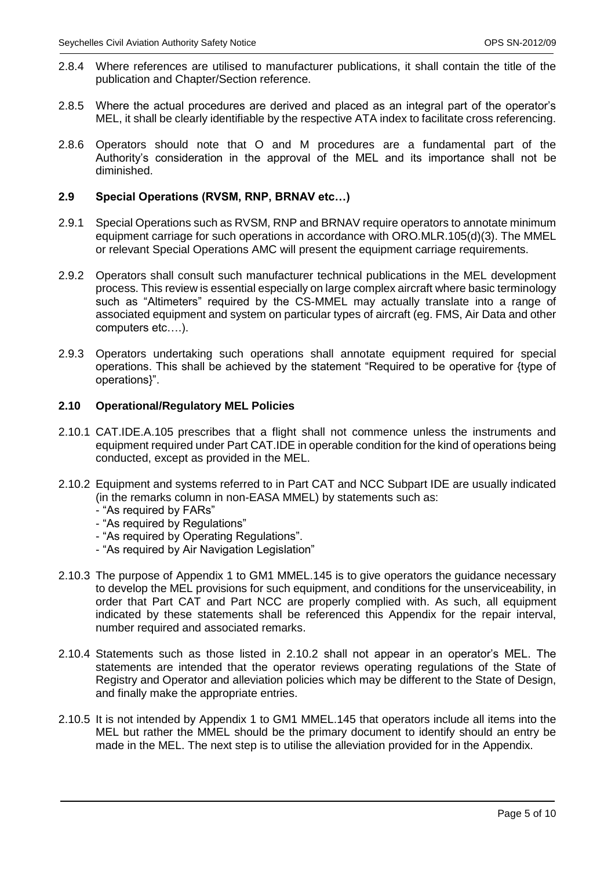- 2.8.4 Where references are utilised to manufacturer publications, it shall contain the title of the publication and Chapter/Section reference.
- 2.8.5 Where the actual procedures are derived and placed as an integral part of the operator's MEL, it shall be clearly identifiable by the respective ATA index to facilitate cross referencing.
- 2.8.6 Operators should note that O and M procedures are a fundamental part of the Authority's consideration in the approval of the MEL and its importance shall not be diminished.

# **2.9 Special Operations (RVSM, RNP, BRNAV etc…)**

- 2.9.1 Special Operations such as RVSM, RNP and BRNAV require operators to annotate minimum equipment carriage for such operations in accordance with ORO.MLR.105(d)(3). The MMEL or relevant Special Operations AMC will present the equipment carriage requirements.
- 2.9.2 Operators shall consult such manufacturer technical publications in the MEL development process. This review is essential especially on large complex aircraft where basic terminology such as "Altimeters" required by the CS-MMEL may actually translate into a range of associated equipment and system on particular types of aircraft (eg. FMS, Air Data and other computers etc….).
- 2.9.3 Operators undertaking such operations shall annotate equipment required for special operations. This shall be achieved by the statement "Required to be operative for {type of operations}".

### **2.10 Operational/Regulatory MEL Policies**

- 2.10.1 CAT.IDE.A.105 prescribes that a flight shall not commence unless the instruments and equipment required under Part CAT.IDE in operable condition for the kind of operations being conducted, except as provided in the MEL.
- 2.10.2 Equipment and systems referred to in Part CAT and NCC Subpart IDE are usually indicated (in the remarks column in non-EASA MMEL) by statements such as:
	- "As required by FARs"
	- "As required by Regulations"
	- "As required by Operating Regulations".
	- "As required by Air Navigation Legislation"
- 2.10.3 The purpose of Appendix 1 to GM1 MMEL.145 is to give operators the guidance necessary to develop the MEL provisions for such equipment, and conditions for the unserviceability, in order that Part CAT and Part NCC are properly complied with. As such, all equipment indicated by these statements shall be referenced this Appendix for the repair interval, number required and associated remarks.
- 2.10.4 Statements such as those listed in 2.10.2 shall not appear in an operator's MEL. The statements are intended that the operator reviews operating regulations of the State of Registry and Operator and alleviation policies which may be different to the State of Design, and finally make the appropriate entries.
- 2.10.5 It is not intended by Appendix 1 to GM1 MMEL.145 that operators include all items into the MEL but rather the MMEL should be the primary document to identify should an entry be made in the MEL. The next step is to utilise the alleviation provided for in the Appendix.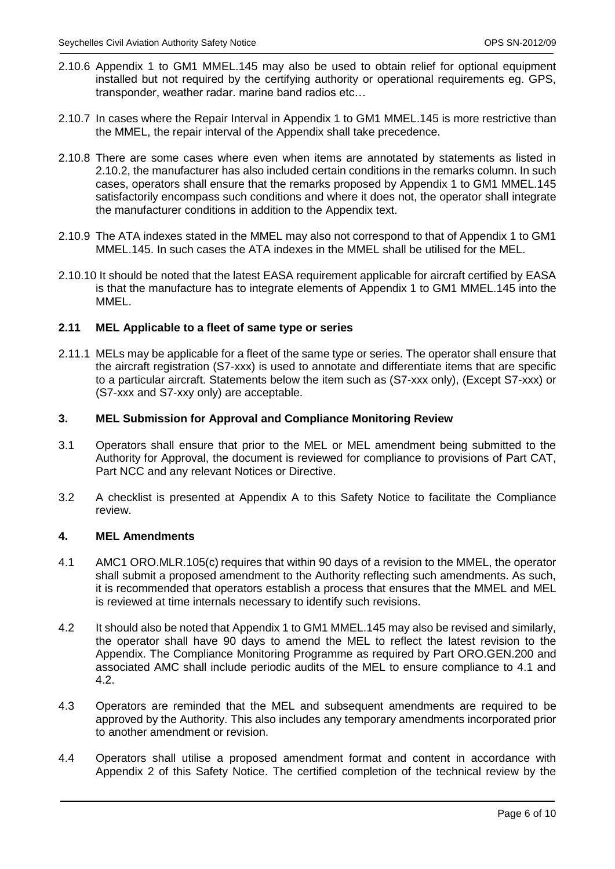- 2.10.6 Appendix 1 to GM1 MMEL.145 may also be used to obtain relief for optional equipment installed but not required by the certifying authority or operational requirements eg. GPS, transponder, weather radar. marine band radios etc…
- 2.10.7 In cases where the Repair Interval in Appendix 1 to GM1 MMEL.145 is more restrictive than the MMEL, the repair interval of the Appendix shall take precedence.
- 2.10.8 There are some cases where even when items are annotated by statements as listed in 2.10.2, the manufacturer has also included certain conditions in the remarks column. In such cases, operators shall ensure that the remarks proposed by Appendix 1 to GM1 MMEL.145 satisfactorily encompass such conditions and where it does not, the operator shall integrate the manufacturer conditions in addition to the Appendix text.
- 2.10.9 The ATA indexes stated in the MMEL may also not correspond to that of Appendix 1 to GM1 MMEL.145. In such cases the ATA indexes in the MMEL shall be utilised for the MEL.
- 2.10.10 It should be noted that the latest EASA requirement applicable for aircraft certified by EASA is that the manufacture has to integrate elements of Appendix 1 to GM1 MMEL.145 into the MMEL.

# **2.11 MEL Applicable to a fleet of same type or series**

2.11.1 MELs may be applicable for a fleet of the same type or series. The operator shall ensure that the aircraft registration (S7-xxx) is used to annotate and differentiate items that are specific to a particular aircraft. Statements below the item such as (S7-xxx only), (Except S7-xxx) or (S7-xxx and S7-xxy only) are acceptable.

# **3. MEL Submission for Approval and Compliance Monitoring Review**

- 3.1 Operators shall ensure that prior to the MEL or MEL amendment being submitted to the Authority for Approval, the document is reviewed for compliance to provisions of Part CAT, Part NCC and any relevant Notices or Directive.
- 3.2 A checklist is presented at Appendix A to this Safety Notice to facilitate the Compliance review.

### **4. MEL Amendments**

- 4.1 AMC1 ORO.MLR.105(c) requires that within 90 days of a revision to the MMEL, the operator shall submit a proposed amendment to the Authority reflecting such amendments. As such, it is recommended that operators establish a process that ensures that the MMEL and MEL is reviewed at time internals necessary to identify such revisions.
- 4.2 It should also be noted that Appendix 1 to GM1 MMEL.145 may also be revised and similarly, the operator shall have 90 days to amend the MEL to reflect the latest revision to the Appendix. The Compliance Monitoring Programme as required by Part ORO.GEN.200 and associated AMC shall include periodic audits of the MEL to ensure compliance to 4.1 and 4.2.
- 4.3 Operators are reminded that the MEL and subsequent amendments are required to be approved by the Authority. This also includes any temporary amendments incorporated prior to another amendment or revision.
- 4.4 Operators shall utilise a proposed amendment format and content in accordance with Appendix 2 of this Safety Notice. The certified completion of the technical review by the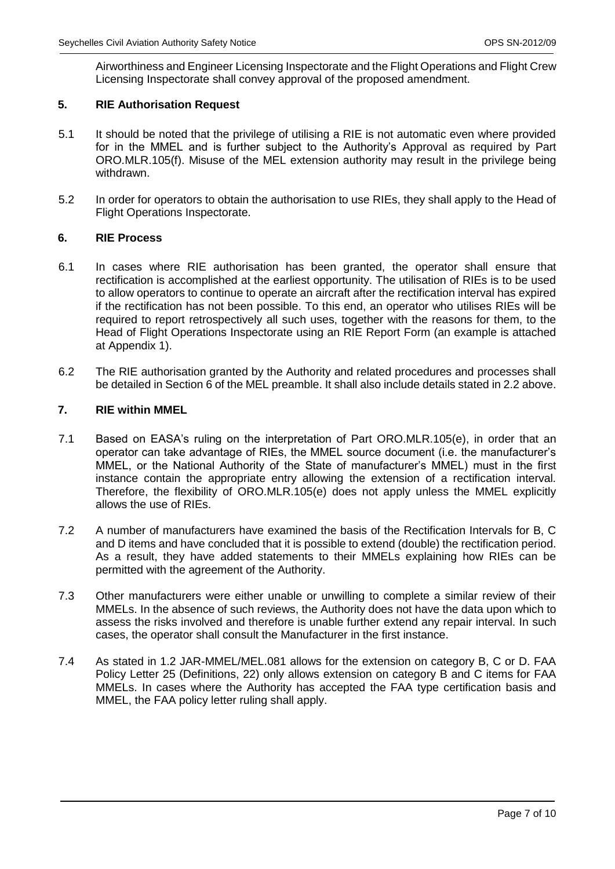Airworthiness and Engineer Licensing Inspectorate and the Flight Operations and Flight Crew Licensing Inspectorate shall convey approval of the proposed amendment.

# **5. RIE Authorisation Request**

- 5.1 It should be noted that the privilege of utilising a RIE is not automatic even where provided for in the MMEL and is further subject to the Authority's Approval as required by Part ORO.MLR.105(f). Misuse of the MEL extension authority may result in the privilege being withdrawn.
- 5.2 In order for operators to obtain the authorisation to use RIEs, they shall apply to the Head of Flight Operations Inspectorate.

### **6. RIE Process**

- 6.1 In cases where RIE authorisation has been granted, the operator shall ensure that rectification is accomplished at the earliest opportunity. The utilisation of RIEs is to be used to allow operators to continue to operate an aircraft after the rectification interval has expired if the rectification has not been possible. To this end, an operator who utilises RIEs will be required to report retrospectively all such uses, together with the reasons for them, to the Head of Flight Operations Inspectorate using an RIE Report Form (an example is attached at Appendix 1).
- 6.2 The RIE authorisation granted by the Authority and related procedures and processes shall be detailed in Section 6 of the MEL preamble. It shall also include details stated in 2.2 above.

### **7. RIE within MMEL**

- 7.1 Based on EASA's ruling on the interpretation of Part ORO.MLR.105(e), in order that an operator can take advantage of RIEs, the MMEL source document (i.e. the manufacturer's MMEL, or the National Authority of the State of manufacturer's MMEL) must in the first instance contain the appropriate entry allowing the extension of a rectification interval. Therefore, the flexibility of ORO.MLR.105(e) does not apply unless the MMEL explicitly allows the use of RIEs.
- 7.2 A number of manufacturers have examined the basis of the Rectification Intervals for B, C and D items and have concluded that it is possible to extend (double) the rectification period. As a result, they have added statements to their MMELs explaining how RIEs can be permitted with the agreement of the Authority.
- 7.3 Other manufacturers were either unable or unwilling to complete a similar review of their MMELs. In the absence of such reviews, the Authority does not have the data upon which to assess the risks involved and therefore is unable further extend any repair interval. In such cases, the operator shall consult the Manufacturer in the first instance.
- 7.4 As stated in 1.2 JAR-MMEL/MEL.081 allows for the extension on category B, C or D. FAA Policy Letter 25 (Definitions, 22) only allows extension on category B and C items for FAA MMELs. In cases where the Authority has accepted the FAA type certification basis and MMEL, the FAA policy letter ruling shall apply.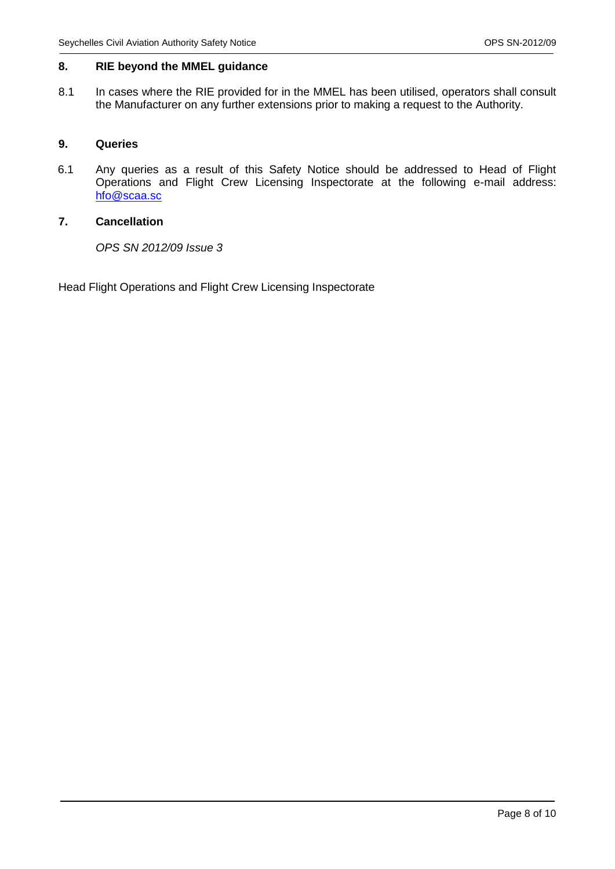# **8. RIE beyond the MMEL guidance**

8.1 In cases where the RIE provided for in the MMEL has been utilised, operators shall consult the Manufacturer on any further extensions prior to making a request to the Authority.

# **9. Queries**

6.1 Any queries as a result of this Safety Notice should be addressed to Head of Flight Operations and Flight Crew Licensing Inspectorate at the following e-mail address: [hfo@scaa.sc](mailto:hfo@scaa.sc)

# **7. Cancellation**

*OPS SN 2012/09 Issue 3*

Head Flight Operations and Flight Crew Licensing Inspectorate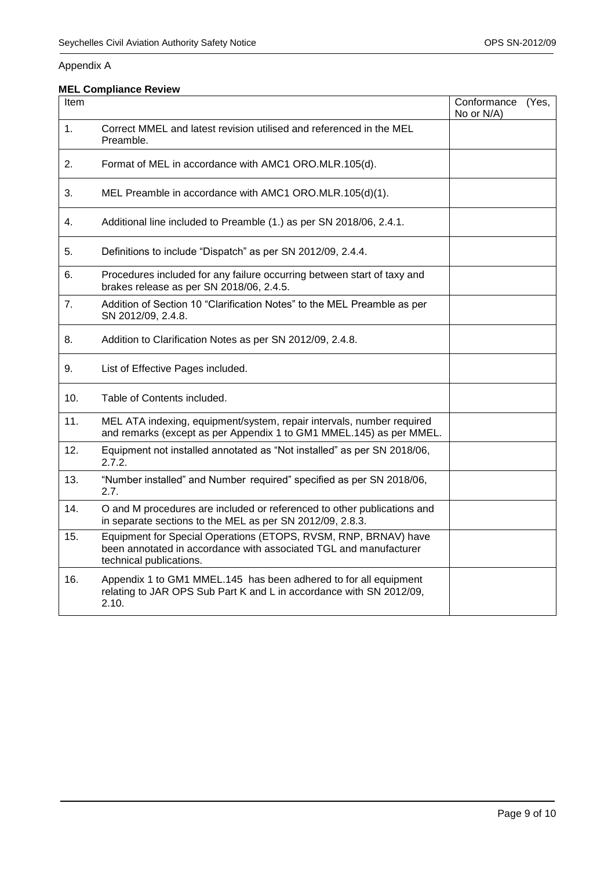# Appendix A

# **MEL Compliance Review**

| Item |                                                                                                                                                                 | Conformance<br>No or N/A) | (Yes, |
|------|-----------------------------------------------------------------------------------------------------------------------------------------------------------------|---------------------------|-------|
| 1.   | Correct MMEL and latest revision utilised and referenced in the MEL<br>Preamble.                                                                                |                           |       |
| 2.   | Format of MEL in accordance with AMC1 ORO.MLR.105(d).                                                                                                           |                           |       |
| 3.   | MEL Preamble in accordance with AMC1 ORO.MLR.105(d)(1).                                                                                                         |                           |       |
| 4.   | Additional line included to Preamble (1.) as per SN 2018/06, 2.4.1.                                                                                             |                           |       |
| 5.   | Definitions to include "Dispatch" as per SN 2012/09, 2.4.4.                                                                                                     |                           |       |
| 6.   | Procedures included for any failure occurring between start of taxy and<br>brakes release as per SN 2018/06, 2.4.5.                                             |                           |       |
| 7.   | Addition of Section 10 "Clarification Notes" to the MEL Preamble as per<br>SN 2012/09, 2.4.8.                                                                   |                           |       |
| 8.   | Addition to Clarification Notes as per SN 2012/09, 2.4.8.                                                                                                       |                           |       |
| 9.   | List of Effective Pages included.                                                                                                                               |                           |       |
| 10.  | Table of Contents included.                                                                                                                                     |                           |       |
| 11.  | MEL ATA indexing, equipment/system, repair intervals, number required<br>and remarks (except as per Appendix 1 to GM1 MMEL.145) as per MMEL.                    |                           |       |
| 12.  | Equipment not installed annotated as "Not installed" as per SN 2018/06,<br>2.7.2.                                                                               |                           |       |
| 13.  | "Number installed" and Number required" specified as per SN 2018/06,<br>2.7.                                                                                    |                           |       |
| 14.  | O and M procedures are included or referenced to other publications and<br>in separate sections to the MEL as per SN 2012/09, 2.8.3.                            |                           |       |
| 15.  | Equipment for Special Operations (ETOPS, RVSM, RNP, BRNAV) have<br>been annotated in accordance with associated TGL and manufacturer<br>technical publications. |                           |       |
| 16.  | Appendix 1 to GM1 MMEL.145 has been adhered to for all equipment<br>relating to JAR OPS Sub Part K and L in accordance with SN 2012/09,<br>2.10.                |                           |       |